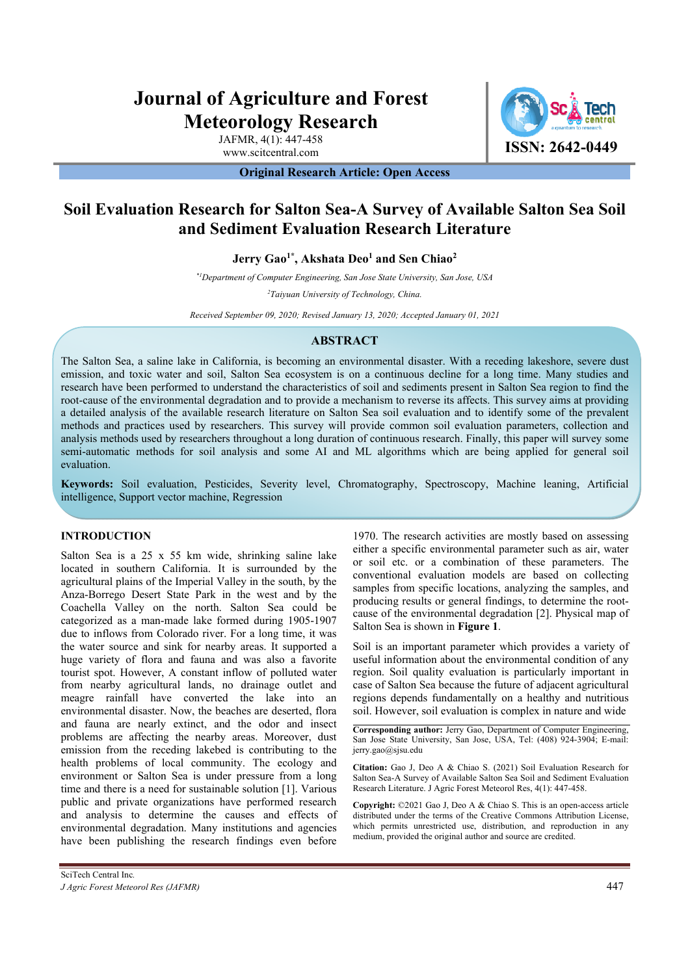# **Journal of Agriculture and Forest Meteorology Research**

JAFMR, 4(1): 447-458

Www.scitcentral.com **ISSN: 2642-0449** 

**Original Research Article: Open Access** 

# **Soil Evaluation Research for Salton Sea-A Survey of Available Salton Sea Soil and Sediment Evaluation Research Literature**

 $\rm{Jerry~Gao^{1*}, Akshata~Deo^{1}}$  and Sen Chiao<sup>2</sup>

*\*1Department of Computer Engineering, San Jose State University, San Jose, USA* 

*2 Taiyuan University of Technology, China.* 

*Received September 09, 2020; Revised January 13, 2020; Accepted January 01, 2021*

# **ABSTRACT**

The Salton Sea, a saline lake in California, is becoming an environmental disaster. With a receding lakeshore, severe dust emission, and toxic water and soil, Salton Sea ecosystem is on a continuous decline for a long time. Many studies and research have been performed to understand the characteristics of soil and sediments present in Salton Sea region to find the root-cause of the environmental degradation and to provide a mechanism to reverse its affects. This survey aims at providing a detailed analysis of the available research literature on Salton Sea soil evaluation and to identify some of the prevalent methods and practices used by researchers. This survey will provide common soil evaluation parameters, collection and analysis methods used by researchers throughout a long duration of continuous research. Finally, this paper will survey some semi-automatic methods for soil analysis and some AI and ML algorithms which are being applied for general soil evaluation.

**Keywords:** Soil evaluation, Pesticides, Severity level, Chromatography, Spectroscopy, Machine leaning, Artificial intelligence, Support vector machine, Regression

# **INTRODUCTION**

Salton Sea is a 25 x 55 km wide, shrinking saline lake located in southern California. It is surrounded by the agricultural plains of the Imperial Valley in the south, by the Anza-Borrego Desert State Park in the west and by the Coachella Valley on the north. Salton Sea could be categorized as a man-made lake formed during 1905-1907 due to inflows from Colorado river. For a long time, it was the water source and sink for nearby areas. It supported a huge variety of flora and fauna and was also a favorite tourist spot. However, A constant inflow of polluted water from nearby agricultural lands, no drainage outlet and meagre rainfall have converted the lake into an environmental disaster. Now, the beaches are deserted, flora and fauna are nearly extinct, and the odor and insect problems are affecting the nearby areas. Moreover, dust emission from the receding lakebed is contributing to the health problems of local community. The ecology and environment or Salton Sea is under pressure from a long time and there is a need for sustainable solution [1]. Various public and private organizations have performed research and analysis to determine the causes and effects of environmental degradation. Many institutions and agencies have been publishing the research findings even before

1970. The research activities are mostly based on assessing either a specific environmental parameter such as air, water or soil etc. or a combination of these parameters. The conventional evaluation models are based on collecting samples from specific locations, analyzing the samples, and producing results or general findings, to determine the rootcause of the environmental degradation [2]. Physical map of Salton Sea is shown in **Figure 1**.

Soil is an important parameter which provides a variety of useful information about the environmental condition of any region. Soil quality evaluation is particularly important in case of Salton Sea because the future of adjacent agricultural regions depends fundamentally on a healthy and nutritious soil. However, soil evaluation is complex in nature and wide

**Citation:** Gao J, Deo A & Chiao S. (2021) Soil Evaluation Research for Salton Sea-A Survey of Available Salton Sea Soil and Sediment Evaluation Research Literature. J Agric Forest Meteorol Res, 4(1): 447-458.

**Copyright:** ©2021 Gao J, Deo A & Chiao S. This is an open-access article distributed under the terms of the Creative Commons Attribution License, which permits unrestricted use, distribution, and reproduction in any medium, provided the original author and source are credited.

**Corresponding author:** Jerry Gao, Department of Computer Engineering, San Jose State University, San Jose, USA, Tel: (408) 924-3904; E-mail: jerry.gao@sjsu.edu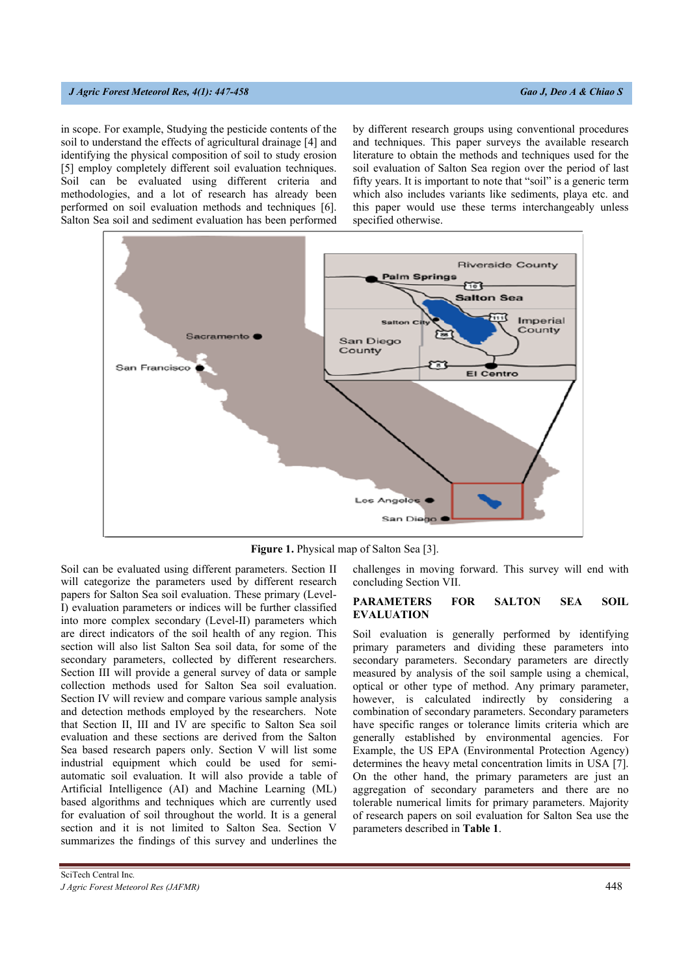in scope. For example, Studying the pesticide contents of the soil to understand the effects of agricultural drainage [4] and identifying the physical composition of soil to study erosion [5] employ completely different soil evaluation techniques. Soil can be evaluated using different criteria and methodologies, and a lot of research has already been performed on soil evaluation methods and techniques [6]. Salton Sea soil and sediment evaluation has been performed by different research groups using conventional procedures and techniques. This paper surveys the available research literature to obtain the methods and techniques used for the soil evaluation of Salton Sea region over the period of last fifty years. It is important to note that "soil" is a generic term which also includes variants like sediments, playa etc. and this paper would use these terms interchangeably unless specified otherwise.



**Figure 1.** Physical map of Salton Sea [3].

Soil can be evaluated using different parameters. Section II will categorize the parameters used by different research papers for Salton Sea soil evaluation. These primary (Level-I) evaluation parameters or indices will be further classified into more complex secondary (Level-II) parameters which are direct indicators of the soil health of any region. This section will also list Salton Sea soil data, for some of the secondary parameters, collected by different researchers. Section III will provide a general survey of data or sample collection methods used for Salton Sea soil evaluation. Section IV will review and compare various sample analysis and detection methods employed by the researchers. Note that Section II, III and IV are specific to Salton Sea soil evaluation and these sections are derived from the Salton Sea based research papers only. Section V will list some industrial equipment which could be used for semiautomatic soil evaluation. It will also provide a table of Artificial Intelligence (AI) and Machine Learning (ML) based algorithms and techniques which are currently used for evaluation of soil throughout the world. It is a general section and it is not limited to Salton Sea. Section V summarizes the findings of this survey and underlines the

challenges in moving forward. This survey will end with concluding Section VII.

# **PARAMETERS FOR SALTON SEA SOIL EVALUATION**

Soil evaluation is generally performed by identifying primary parameters and dividing these parameters into secondary parameters. Secondary parameters are directly measured by analysis of the soil sample using a chemical, optical or other type of method. Any primary parameter, however, is calculated indirectly by considering a combination of secondary parameters. Secondary parameters have specific ranges or tolerance limits criteria which are generally established by environmental agencies. For Example, the US EPA (Environmental Protection Agency) determines the heavy metal concentration limits in USA [7]. On the other hand, the primary parameters are just an aggregation of secondary parameters and there are no tolerable numerical limits for primary parameters. Majority of research papers on soil evaluation for Salton Sea use the parameters described in **Table 1**.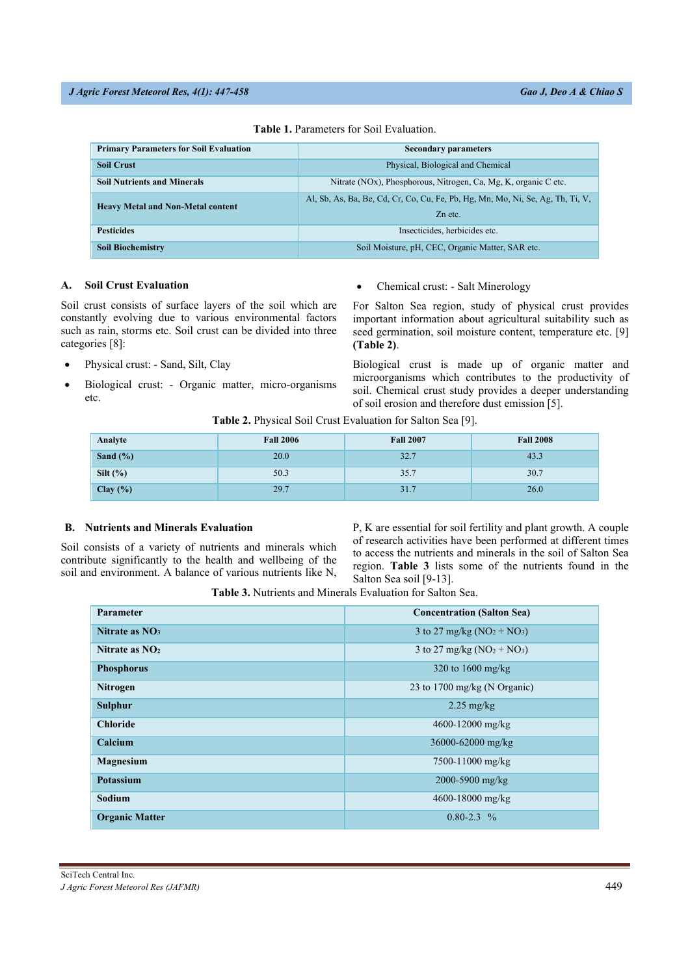| <b>Primary Parameters for Soil Evaluation</b> | <b>Secondary parameters</b>                                                                           |
|-----------------------------------------------|-------------------------------------------------------------------------------------------------------|
| <b>Soil Crust</b>                             | Physical, Biological and Chemical                                                                     |
| <b>Soil Nutrients and Minerals</b>            | Nitrate (NOx), Phosphorous, Nitrogen, Ca, Mg, K, organic C etc.                                       |
| <b>Heavy Metal and Non-Metal content</b>      | Al, Sb, As, Ba, Be, Cd, Cr, Co, Cu, Fe, Pb, Hg, Mn, Mo, Ni, Se, Ag, Th, Ti, V,<br>Z <sub>n</sub> etc. |
| <b>Pesticides</b>                             | Insecticides, herbicides etc.                                                                         |
| <b>Soil Biochemistry</b>                      | Soil Moisture, pH, CEC, Organic Matter, SAR etc.                                                      |

**Table 1.** Parameters for Soil Evaluation.

# **A. Soil Crust Evaluation**

Soil crust consists of surface layers of the soil which are constantly evolving due to various environmental factors such as rain, storms etc. Soil crust can be divided into three categories [8]:

- Physical crust: Sand, Silt, Clay
- Biological crust: Organic matter, micro-organisms etc.

• Chemical crust: - Salt Minerology

For Salton Sea region, study of physical crust provides important information about agricultural suitability such as seed germination, soil moisture content, temperature etc. [9] **(Table 2)**.

Biological crust is made up of organic matter and microorganisms which contributes to the productivity of soil. Chemical crust study provides a deeper understanding of soil erosion and therefore dust emission [5].

**Table 2.** Physical Soil Crust Evaluation for Salton Sea [9].

| Analyte      | <b>Fall 2006</b> | <b>Fall 2007</b> | <b>Fall 2008</b> |
|--------------|------------------|------------------|------------------|
| Sand $(\% )$ | 20.0             | 32.7             | 43.3             |
| Silt $(\% )$ | 50.3             | 35.7             | 30.7             |
| Clay $(\% )$ | 29.7             | 31.7             | 26.0             |

# **B. Nutrients and Minerals Evaluation**

Soil consists of a variety of nutrients and minerals which contribute significantly to the health and wellbeing of the soil and environment. A balance of various nutrients like N, P, K are essential for soil fertility and plant growth. A couple of research activities have been performed at different times to access the nutrients and minerals in the soil of Salton Sea region. **Table 3** lists some of the nutrients found in the Salton Sea soil [9-13].

**Table 3.** Nutrients and Minerals Evaluation for Salton Sea.

| <b>Parameter</b>      | <b>Concentration (Salton Sea)</b> |
|-----------------------|-----------------------------------|
| Nitrate as $NO3$      | 3 to 27 mg/kg $(NO2 + NO3)$       |
| Nitrate as $NO2$      | 3 to 27 mg/kg $(NO2 + NO3)$       |
| <b>Phosphorus</b>     | 320 to $1600 \text{ mg/kg}$       |
| <b>Nitrogen</b>       | 23 to 1700 mg/kg (N Organic)      |
| <b>Sulphur</b>        | $2.25 \text{ mg/kg}$              |
| <b>Chloride</b>       | 4600-12000 mg/kg                  |
| Calcium               | 36000-62000 mg/kg                 |
| Magnesium             | 7500-11000 mg/kg                  |
| <b>Potassium</b>      | 2000-5900 mg/kg                   |
| Sodium                | 4600-18000 mg/kg                  |
| <b>Organic Matter</b> | $0.80 - 2.3$ %                    |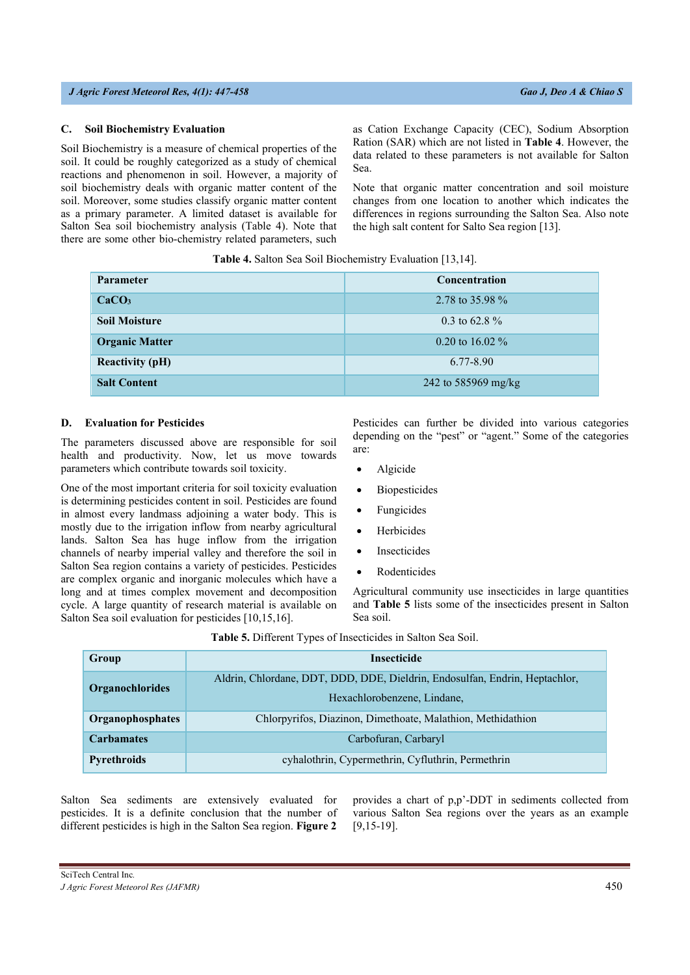#### **C. Soil Biochemistry Evaluation**

Soil Biochemistry is a measure of chemical properties of the soil. It could be roughly categorized as a study of chemical reactions and phenomenon in soil. However, a majority of soil biochemistry deals with organic matter content of the soil. Moreover, some studies classify organic matter content as a primary parameter. A limited dataset is available for Salton Sea soil biochemistry analysis (Table 4). Note that there are some other bio-chemistry related parameters, such as Cation Exchange Capacity (CEC), Sodium Absorption Ration (SAR) which are not listed in **Table 4**. However, the data related to these parameters is not available for Salton Sea.

Note that organic matter concentration and soil moisture changes from one location to another which indicates the differences in regions surrounding the Salton Sea. Also note the high salt content for Salto Sea region [13].

**Table 4.** Salton Sea Soil Biochemistry Evaluation [13,14].

| <b>Parameter</b>       | <b>Concentration</b> |
|------------------------|----------------------|
| CaCO <sub>3</sub>      | 2.78 to 35.98 $\%$   |
| <b>Soil Moisture</b>   | 0.3 to 62.8 $\%$     |
| <b>Organic Matter</b>  | 0.20 to 16.02 $\%$   |
| <b>Reactivity (pH)</b> | $6.77 - 8.90$        |
| <b>Salt Content</b>    | 242 to 585969 mg/kg  |

# **D. Evaluation for Pesticides**

The parameters discussed above are responsible for soil health and productivity. Now, let us move towards parameters which contribute towards soil toxicity.

One of the most important criteria for soil toxicity evaluation is determining pesticides content in soil. Pesticides are found in almost every landmass adjoining a water body. This is mostly due to the irrigation inflow from nearby agricultural lands. Salton Sea has huge inflow from the irrigation channels of nearby imperial valley and therefore the soil in Salton Sea region contains a variety of pesticides. Pesticides are complex organic and inorganic molecules which have a long and at times complex movement and decomposition cycle. A large quantity of research material is available on Salton Sea soil evaluation for pesticides [10,15,16].

Pesticides can further be divided into various categories depending on the "pest" or "agent." Some of the categories are:

- Algicide
- Biopesticides
- Fungicides
- Herbicides
- Insecticides
- Rodenticides

Agricultural community use insecticides in large quantities and **Table 5** lists some of the insecticides present in Salton Sea soil.

| Group              | <b>Insecticide</b>                                                          |  |  |  |  |
|--------------------|-----------------------------------------------------------------------------|--|--|--|--|
| Organochlorides    | Aldrin, Chlordane, DDT, DDD, DDE, Dieldrin, Endosulfan, Endrin, Heptachlor, |  |  |  |  |
|                    | Hexachlorobenzene, Lindane,                                                 |  |  |  |  |
| Organophosphates   | Chlorpyrifos, Diazinon, Dimethoate, Malathion, Methidathion                 |  |  |  |  |
| <b>Carbamates</b>  | Carbofuran, Carbaryl                                                        |  |  |  |  |
| <b>Pyrethroids</b> | cyhalothrin, Cypermethrin, Cyfluthrin, Permethrin                           |  |  |  |  |

**Table 5.** Different Types of Insecticides in Salton Sea Soil.

Salton Sea sediments are extensively evaluated for pesticides. It is a definite conclusion that the number of different pesticides is high in the Salton Sea region. **Figure 2** provides a chart of p,p'-DDT in sediments collected from various Salton Sea regions over the years as an example [9,15-19].

SciTech Central Inc*.*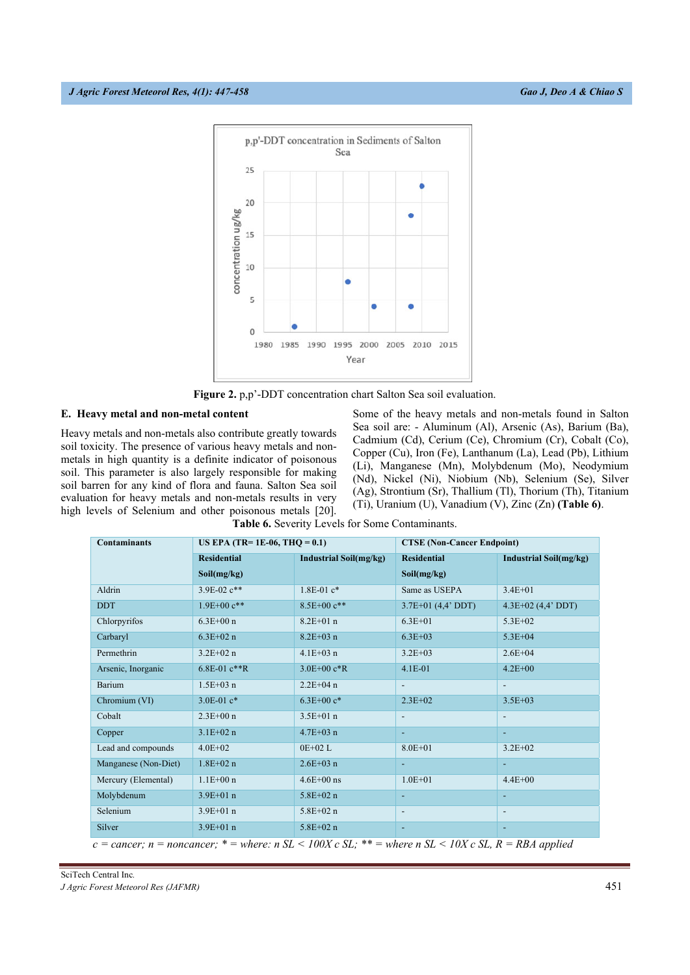

**Figure 2.** p,p'-DDT concentration chart Salton Sea soil evaluation.

# **E. Heavy metal and non-metal content**

Heavy metals and non-metals also contribute greatly towards soil toxicity. The presence of various heavy metals and nonmetals in high quantity is a definite indicator of poisonous soil. This parameter is also largely responsible for making soil barren for any kind of flora and fauna. Salton Sea soil evaluation for heavy metals and non-metals results in very high levels of Selenium and other poisonous metals [20]. Some of the heavy metals and non-metals found in Salton Sea soil are: - Aluminum (Al), Arsenic (As), Barium (Ba), Cadmium (Cd), Cerium (Ce), Chromium (Cr), Cobalt (Co), Copper (Cu), Iron (Fe), Lanthanum (La), Lead (Pb), Lithium (Li), Manganese (Mn), Molybdenum (Mo), Neodymium (Nd), Nickel (Ni), Niobium (Nb), Selenium (Se), Silver (Ag), Strontium (Sr), Thallium (Tl), Thorium (Th), Titanium (Ti), Uranium (U), Vanadium (V), Zinc (Zn) **(Table 6)**.

**Table 6.** Severity Levels for Some Contaminants.

| <b>Contaminants</b>  | US EPA (TR= 1E-06, THO = $0.1$ ) |                               | <b>CTSE</b> (Non-Cancer Endpoint)                                                                   |                               |  |
|----------------------|----------------------------------|-------------------------------|-----------------------------------------------------------------------------------------------------|-------------------------------|--|
|                      | <b>Residential</b>               | <b>Industrial Soil(mg/kg)</b> | <b>Residential</b>                                                                                  | <b>Industrial Soil(mg/kg)</b> |  |
|                      | Soil(mg/kg)                      |                               | Soil(mg/kg)                                                                                         |                               |  |
| Aldrin               | $3.9E-02c**$                     | $1.8E-01c*$                   | Same as USEPA                                                                                       | $3.4E + 01$                   |  |
| <b>DDT</b>           | $1.9E + 00c**$                   | $8.5E+00c**$                  | $3.7E+01$ (4,4' DDT)                                                                                | $4.3E+02$ (4,4' DDT)          |  |
| Chlorpyrifos         | $6.3E + 00n$                     | $8.2E + 01n$                  | $6.3E + 01$                                                                                         | $5.3E + 02$                   |  |
| Carbaryl             | $6.3E + 02n$                     | $8.2E + 03n$                  | $6.3E + 03$                                                                                         | $5.3E + 04$                   |  |
| Permethrin           | $3.2E + 02n$                     | $4.1E + 03n$                  | $3.2E + 03$                                                                                         | $2.6E + 04$                   |  |
| Arsenic, Inorganic   | $6.8E-01c**R$                    | $3.0E + 00c$ *R               | 4.1E-01                                                                                             | $4.2E + 00$                   |  |
| <b>Barium</b>        | $1.5E + 03n$                     | $2.2E + 04n$                  | $\sim$                                                                                              | $\overline{\phantom{a}}$      |  |
| Chromium (VI)        | $3.0E-01c*$                      | $6.3E + 00c*$                 | $2.3E + 02$                                                                                         | $3.5E + 03$                   |  |
| Cobalt               | $2.3E + 00n$                     | $3.5E + 01n$                  |                                                                                                     |                               |  |
| Copper               | $3.1E + 02n$                     | $4.7E + 03n$                  |                                                                                                     |                               |  |
| Lead and compounds   | $4.0E + 02$                      | $0E+02L$                      | $8.0E + 01$                                                                                         | $3.2E + 02$                   |  |
| Manganese (Non-Diet) | $1.8E + 02n$                     | $2.6E + 03n$                  |                                                                                                     |                               |  |
| Mercury (Elemental)  | $1.1E + 00n$                     | $4.6E + 00$ ns                | $1.0E + 01$                                                                                         | $4.4E + 00$                   |  |
| Molybdenum           | $3.9E + 01n$                     | $5.8E + 02n$                  |                                                                                                     |                               |  |
| Selenium             | $3.9E + 01n$                     | $5.8E + 02n$                  |                                                                                                     |                               |  |
| Silver               | $3.9E + 01n$                     | $5.8E + 02n$                  |                                                                                                     |                               |  |
|                      |                                  |                               | c = cancer; n = noncancer; * = where: n SL < 100X c SL; ** = where n SL < 10X c SL, R = RBA applied |                               |  |

SciTech Central Inc*.*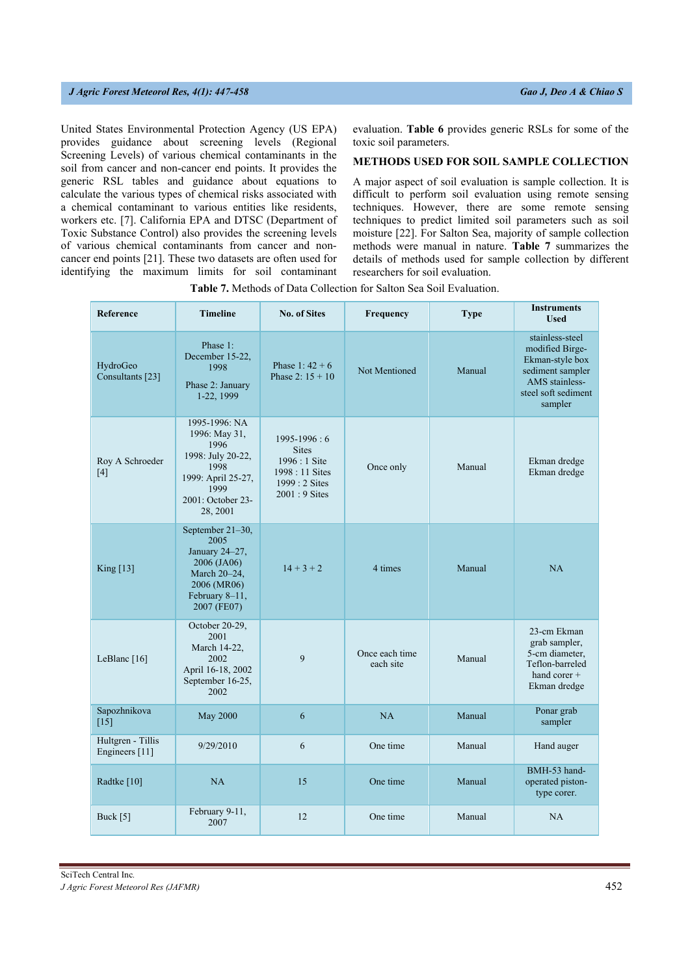United States Environmental Protection Agency (US EPA) provides guidance about screening levels (Regional Screening Levels) of various chemical contaminants in the soil from cancer and non-cancer end points. It provides the generic RSL tables and guidance about equations to calculate the various types of chemical risks associated with a chemical contaminant to various entities like residents, workers etc. [7]. California EPA and DTSC (Department of Toxic Substance Control) also provides the screening levels of various chemical contaminants from cancer and noncancer end points [21]. These two datasets are often used for identifying the maximum limits for soil contaminant evaluation. **Table 6** provides generic RSLs for some of the toxic soil parameters.

# **METHODS USED FOR SOIL SAMPLE COLLECTION**

A major aspect of soil evaluation is sample collection. It is difficult to perform soil evaluation using remote sensing techniques. However, there are some remote sensing techniques to predict limited soil parameters such as soil moisture [22]. For Salton Sea, majority of sample collection methods were manual in nature. **Table 7** summarizes the details of methods used for sample collection by different researchers for soil evaluation.

| Reference                           | <b>Timeline</b>                                                                                                                    | <b>No. of Sites</b>                                                                                 | Frequency                   | <b>Type</b> | <b>Instruments</b><br><b>Used</b>                                                                                                    |
|-------------------------------------|------------------------------------------------------------------------------------------------------------------------------------|-----------------------------------------------------------------------------------------------------|-----------------------------|-------------|--------------------------------------------------------------------------------------------------------------------------------------|
| HydroGeo<br>Consultants [23]        | Phase 1:<br>December 15-22,<br>1998<br>Phase 2: January<br>1-22, 1999                                                              | Phase 1: $42 + 6$<br>Phase 2: $15 + 10$                                                             | Not Mentioned               | Manual      | stainless-steel<br>modified Birge-<br>Ekman-style box<br>sediment sampler<br><b>AMS</b> stainless-<br>steel soft sediment<br>sampler |
| Roy A Schroeder<br>$[4]$            | 1995-1996: NA<br>1996: May 31,<br>1996<br>1998: July 20-22,<br>1998<br>1999: April 25-27,<br>1999<br>2001: October 23-<br>28, 2001 | 1995-1996:6<br><b>Sites</b><br>$1996:1$ Site<br>1998 : 11 Sites<br>1999 : 2 Sites<br>2001 : 9 Sites | Once only                   | Manual      | Ekman dredge<br>Ekman dredge                                                                                                         |
| King [13]                           | September 21-30,<br>2005<br>January 24-27,<br>2006 (JA06)<br>March 20-24,<br>2006 (MR06)<br>February 8–11,<br>2007 (FE07)          | $14 + 3 + 2$                                                                                        | 4 times                     | Manual      | <b>NA</b>                                                                                                                            |
| LeBlanc $[16]$                      | October 20-29,<br>2001<br>March 14-22,<br>2002<br>April 16-18, 2002<br>September 16-25,<br>2002                                    | 9                                                                                                   | Once each time<br>each site | Manual      | 23-cm Ekman<br>grab sampler,<br>5-cm diameter,<br>Teflon-barreled<br>hand corer +<br>Ekman dredge                                    |
| Sapozhnikova<br>[15]                | <b>May 2000</b>                                                                                                                    | 6                                                                                                   | NA                          | Manual      | Ponar grab<br>sampler                                                                                                                |
| Hultgren - Tillis<br>Engineers [11] | 9/29/2010                                                                                                                          | 6                                                                                                   | One time                    | Manual      | Hand auger                                                                                                                           |
| Radtke [10]                         | NA                                                                                                                                 | 15                                                                                                  | One time                    | Manual      | BMH-53 hand-<br>operated piston-<br>type corer.                                                                                      |
| Buck [5]                            | February 9-11,<br>2007                                                                                                             | 12                                                                                                  | One time                    | Manual      | NA                                                                                                                                   |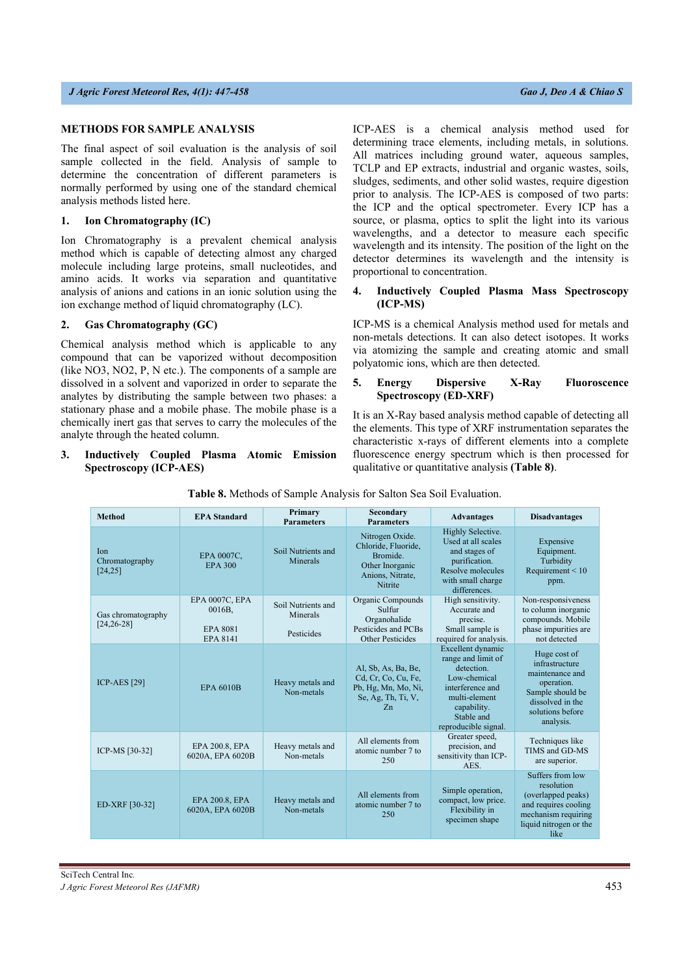# **METHODS FOR SAMPLE ANALYSIS**

The final aspect of soil evaluation is the analysis of soil sample collected in the field. Analysis of sample to determine the concentration of different parameters is normally performed by using one of the standard chemical analysis methods listed here.

# **1. Ion Chromatography (IC)**

Ion Chromatography is a prevalent chemical analysis method which is capable of detecting almost any charged molecule including large proteins, small nucleotides, and amino acids. It works via separation and quantitative analysis of anions and cations in an ionic solution using the ion exchange method of liquid chromatography (LC).

# **2. Gas Chromatography (GC)**

Chemical analysis method which is applicable to any compound that can be vaporized without decomposition (like NO3, NO2, P, N etc.). The components of a sample are dissolved in a solvent and vaporized in order to separate the analytes by distributing the sample between two phases: a stationary phase and a mobile phase. The mobile phase is a chemically inert gas that serves to carry the molecules of the analyte through the heated column.

# **3. Inductively Coupled Plasma Atomic Emission Spectroscopy (ICP-AES)**

ICP-AES is a chemical analysis method used for determining trace elements, including metals, in solutions. All matrices including ground water, aqueous samples, TCLP and EP extracts, industrial and organic wastes, soils, sludges, sediments, and other solid wastes, require digestion prior to analysis. The ICP-AES is composed of two parts: the ICP and the optical spectrometer. Every ICP has a source, or plasma, optics to split the light into its various wavelengths, and a detector to measure each specific wavelength and its intensity. The position of the light on the detector determines its wavelength and the intensity is proportional to concentration.

# **4. Inductively Coupled Plasma Mass Spectroscopy (ICP-MS)**

ICP-MS is a chemical Analysis method used for metals and non-metals detections. It can also detect isotopes. It works via atomizing the sample and creating atomic and small polyatomic ions, which are then detected.

# **5. Energy Dispersive X-Ray Fluoroscence Spectroscopy (ED-XRF)**

It is an X-Ray based analysis method capable of detecting all the elements. This type of XRF instrumentation separates the characteristic x-rays of different elements into a complete fluorescence energy spectrum which is then processed for qualitative or quantitative analysis **(Table 8)**.

| <b>Method</b>                            | <b>EPA</b> Standard                                     | Primary<br><b>Parameters</b>                 | Secondary<br><b>Parameters</b>                                                                       | <b>Advantages</b>                                                                                                                                               | <b>Disadvantages</b>                                                                                                                     |
|------------------------------------------|---------------------------------------------------------|----------------------------------------------|------------------------------------------------------------------------------------------------------|-----------------------------------------------------------------------------------------------------------------------------------------------------------------|------------------------------------------------------------------------------------------------------------------------------------------|
| <b>Ion</b><br>Chromatography<br>[24, 25] | EPA 0007C,<br><b>EPA 300</b>                            | Soil Nutrients and<br>Minerals               | Nitrogen Oxide.<br>Chloride, Fluoride,<br>Bromide.<br>Other Inorganic<br>Anions, Nitrate,<br>Nitrite | Highly Selective.<br>Used at all scales<br>and stages of<br>purification.<br>Resolve molecules<br>with small charge<br>differences.                             | Expensive<br>Equipment.<br>Turbidity<br>Requirement < $10$<br>ppm.                                                                       |
| Gas chromatography<br>$[24, 26 - 28]$    | EPA 0007C, EPA<br>0016B,<br><b>EPA 8081</b><br>EPA 8141 | Soil Nutrients and<br>Minerals<br>Pesticides | Organic Compounds<br>Sulfur<br>Organohalide<br>Pesticides and PCBs<br>Other Pesticides               | High sensitivity.<br>Accurate and<br>precise.<br>Small sample is<br>required for analysis.                                                                      | Non-responsiveness<br>to column inorganic<br>compounds. Mobile<br>phase impurities are<br>not detected                                   |
| <b>ICP-AES</b> [29]                      | <b>EPA 6010B</b>                                        | Heavy metals and<br>Non-metals               | Al, Sb, As, Ba, Be,<br>Cd, Cr, Co, Cu, Fe,<br>Pb, Hg, Mn, Mo, Ni,<br>Se, Ag, Th, Ti, V,<br>$Z_{n}$   | Excellent dynamic<br>range and limit of<br>detection.<br>Low-chemical<br>interference and<br>multi-element<br>capability.<br>Stable and<br>reproducible signal. | Huge cost of<br>infrastructure<br>maintenance and<br>operation.<br>Sample should be<br>dissolved in the<br>solutions before<br>analysis. |
| ICP-MS [30-32]                           | EPA 200.8, EPA<br>6020A, EPA 6020B                      | Heavy metals and<br>Non-metals               | All elements from<br>atomic number 7 to<br>250                                                       | Greater speed,<br>precision, and<br>sensitivity than ICP-<br>AES.                                                                                               | Techniques like<br>TIMS and GD-MS<br>are superior.                                                                                       |
| ED-XRF [30-32]                           | EPA 200.8, EPA<br>6020A, EPA 6020B                      | Heavy metals and<br>Non-metals               | All elements from<br>atomic number 7 to<br>250                                                       | Simple operation,<br>compact, low price.<br>Flexibility in<br>specimen shape                                                                                    | Suffers from low<br>resolution<br>(overlapped peaks)<br>and requires cooling<br>mechanism requiring<br>liquid nitrogen or the<br>like    |

# **Table 8.** Methods of Sample Analysis for Salton Sea Soil Evaluation.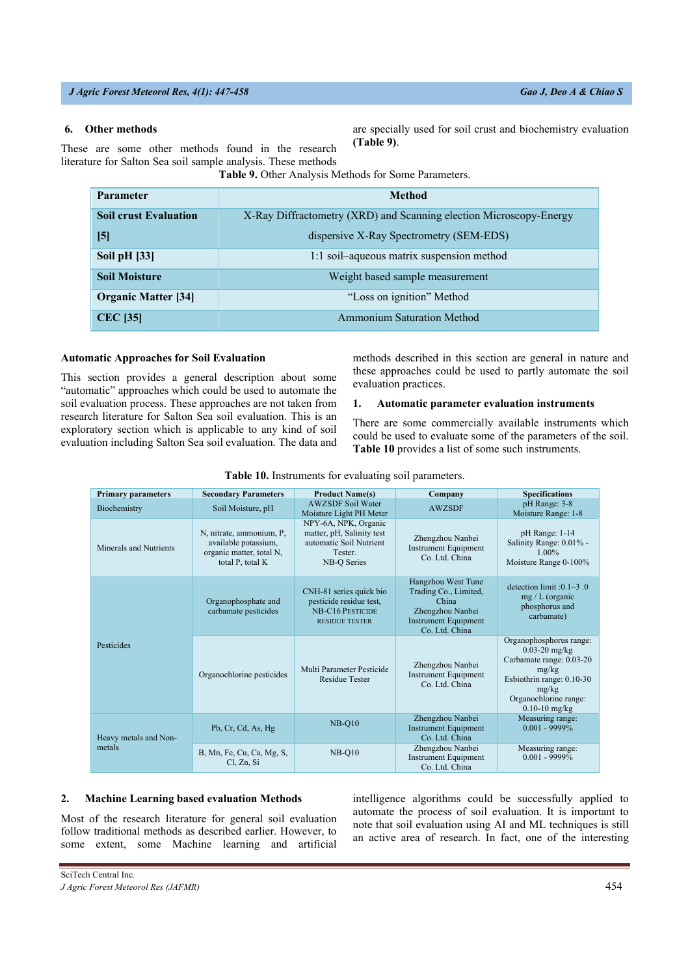#### **6. Other methods**

These are some other methods found in the research literature for Salton Sea soil sample analysis. These methods

are specially used for soil crust and biochemistry evaluation **(Table 9)**.

**Table 9.** Other Analysis Methods for Some Parameters.

| <b>Parameter</b>             | <b>Method</b>                                                      |
|------------------------------|--------------------------------------------------------------------|
| <b>Soil crust Evaluation</b> | X-Ray Diffractometry (XRD) and Scanning election Microscopy-Energy |
| [5]                          | dispersive X-Ray Spectrometry (SEM-EDS)                            |
| <b>Soil pH [33]</b>          | 1:1 soil-aqueous matrix suspension method                          |
| <b>Soil Moisture</b>         | Weight based sample measurement                                    |
| <b>Organic Matter [34]</b>   | "Loss on ignition" Method                                          |
| <b>CEC</b> [35]              | <b>Ammonium Saturation Method</b>                                  |

#### **Automatic Approaches for Soil Evaluation**

This section provides a general description about some "automatic" approaches which could be used to automate the soil evaluation process. These approaches are not taken from research literature for Salton Sea soil evaluation. This is an exploratory section which is applicable to any kind of soil evaluation including Salton Sea soil evaluation. The data and methods described in this section are general in nature and these approaches could be used to partly automate the soil evaluation practices.

# **1. Automatic parameter evaluation instruments**

There are some commercially available instruments which could be used to evaluate some of the parameters of the soil. **Table 10** provides a list of some such instruments.

| <b>Primary parameters</b>       | <b>Secondary Parameters</b>                                                                      | <b>Product Name(s)</b>                                                                                                                                                                                                       | Company                                                           | <b>Specifications</b>                                                                                                                                                 |
|---------------------------------|--------------------------------------------------------------------------------------------------|------------------------------------------------------------------------------------------------------------------------------------------------------------------------------------------------------------------------------|-------------------------------------------------------------------|-----------------------------------------------------------------------------------------------------------------------------------------------------------------------|
| Biochemistry                    | Soil Moisture, pH                                                                                | <b>AWZSDF Soil Water</b><br>Moisture Light PH Meter                                                                                                                                                                          | <b>AWZSDF</b>                                                     | pH Range: 3-8<br>Moisture Range: 1-8                                                                                                                                  |
| Minerals and Nutrients          | N, nitrate, ammonium, P,<br>available potassium,<br>organic matter, total N,<br>total P, total K | NPY-6A, NPK, Organic<br>matter, pH, Salinity test<br>Zhengzhou Nanbei<br>automatic Soil Nutrient<br>Instrument Equipment<br>Tester.<br>Co. Ltd. China<br>NB-Q Series                                                         |                                                                   | pH Range: 1-14<br>Salinity Range: 0.01% -<br>$1.00\%$<br>Moisture Range 0-100%                                                                                        |
|                                 | Organophosphate and<br>carbamate pesticides                                                      | Hangzhou West Tune<br>Trading Co., Limited,<br>CNH-81 series quick bio<br>China<br>pesticide residue test,<br>NB-C16 PESTICIDE<br>Zhengzhou Nanbei<br><b>Instrument Equipment</b><br><b>RESIDUE TESTER</b><br>Co. Ltd. China |                                                                   | detection limit : $0.1 \sim 3$ .<br>$mg/L$ (organic<br>phosphorus and<br>carbamate)                                                                                   |
| Pesticides                      | Organochlorine pesticides                                                                        | Multi Parameter Pesticide<br><b>Residue Tester</b>                                                                                                                                                                           | Zhengzhou Nanbei<br>Instrument Equipment<br>Co. Ltd. China        | Organophosphorus range:<br>$0.03 - 20$ mg/kg<br>Carbamate range: 0.03-20<br>mg/kg<br>Esbiothrin range: 0.10-30<br>mg/kg<br>Organochlorine range:<br>$0.10 - 10$ mg/kg |
| Heavy metals and Non-<br>metals | Pb, Cr, Cd, As, Hg                                                                               | $NB-Q10$                                                                                                                                                                                                                     | Zhengzhou Nanbei<br><b>Instrument Equipment</b><br>Co. Ltd. China | Measuring range:<br>$0.001 - 9999\%$                                                                                                                                  |
|                                 | B, Mn, Fe, Cu, Ca, Mg, S,<br>Cl, Zn, Si                                                          | $NB-Q10$                                                                                                                                                                                                                     | Zhengzhou Nanbei<br>Instrument Equipment<br>Co. Ltd. China        | Measuring range:<br>$0.001 - 9999\%$                                                                                                                                  |

|  | Table 10. Instruments for evaluating soil parameters. |  |  |  |  |
|--|-------------------------------------------------------|--|--|--|--|
|--|-------------------------------------------------------|--|--|--|--|

# **2. Machine Learning based evaluation Methods**

Most of the research literature for general soil evaluation follow traditional methods as described earlier. However, to some extent, some Machine learning and artificial intelligence algorithms could be successfully applied to automate the process of soil evaluation. It is important to note that soil evaluation using AI and ML techniques is still an active area of research. In fact, one of the interesting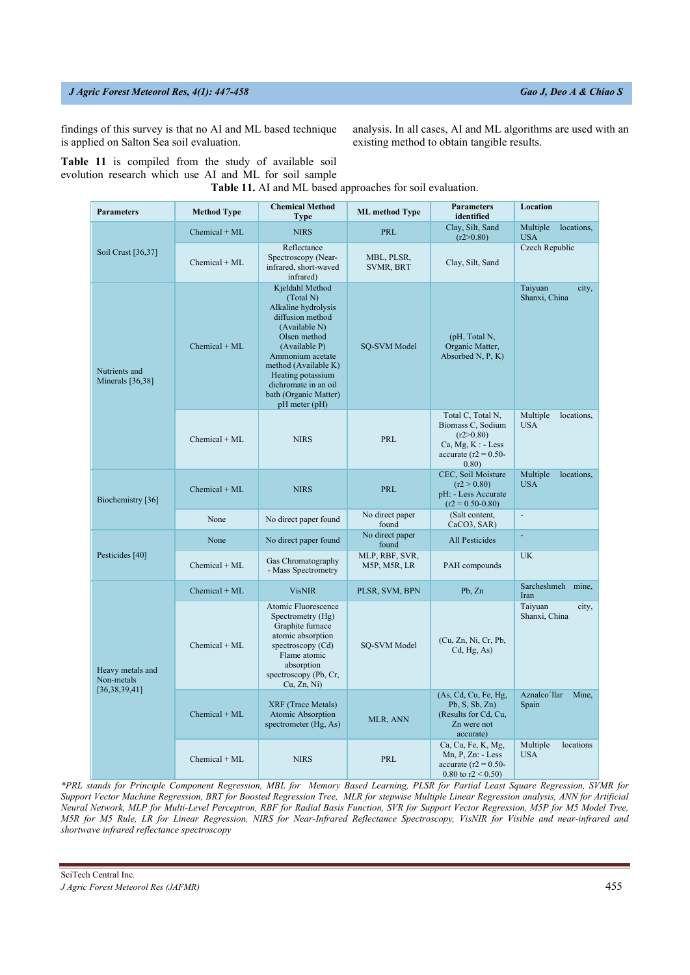findings of this survey is that no AI and ML based technique is applied on Salton Sea soil evaluation.

analysis. In all cases, AI and ML algorithms are used with an existing method to obtain tangible results.

**Table 11** is compiled from the study of available soil evolution research which use AI and ML for soil sample **Table 11.** AI and ML based approaches for soil evaluation.

| <b>Parameters</b>                                  | <b>Method Type</b> | <b>Chemical Method</b><br><b>Type</b>                                                                                                                                                                                                                        | <b>ML</b> method Type          | <b>Parameters</b><br>identified                                                                                 | Location                             |
|----------------------------------------------------|--------------------|--------------------------------------------------------------------------------------------------------------------------------------------------------------------------------------------------------------------------------------------------------------|--------------------------------|-----------------------------------------------------------------------------------------------------------------|--------------------------------------|
| Soil Crust [36,37]                                 | $Chemical + ML$    | <b>NIRS</b>                                                                                                                                                                                                                                                  | PRL                            | Clay, Silt, Sand<br>(r2>0.80)                                                                                   | Multiple<br>locations,<br><b>USA</b> |
|                                                    | $Chemical + ML$    | Reflectance<br>Spectroscopy (Near-<br>infrared, short-waved<br>infrared)                                                                                                                                                                                     | MBL, PLSR,<br>SVMR, BRT        | Clay, Silt, Sand                                                                                                | Czech Republic                       |
| Nutrients and<br>Minerals [36,38]                  | $Chemical + ML$    | Kjeldahl Method<br>(Total N)<br>Alkaline hydrolysis<br>diffusion method<br>(Available N)<br>Olsen method<br>(Available P)<br>Ammonium acetate<br>method (Available K)<br>Heating potassium<br>dichromate in an oil<br>bath (Organic Matter)<br>pH meter (pH) | SQ-SVM Model                   | (pH, Total N,<br>Organic Matter,<br>Absorbed N, P, K)                                                           | Taiyuan<br>city,<br>Shanxi, China    |
|                                                    | $Chemical + ML$    | <b>NIRS</b>                                                                                                                                                                                                                                                  | PRL                            | Total C, Total N,<br>Biomass C, Sodium<br>(r2>0.80)<br>$Ca, Mg, K: - Less$<br>accurate ( $r2 = 0.50$ -<br>0.80) | Multiple<br>locations,<br><b>USA</b> |
| Biochemistry [36]                                  | $Chemical + ML$    | <b>NIRS</b>                                                                                                                                                                                                                                                  | <b>PRL</b>                     | CEC, Soil Moisture<br>(r2 > 0.80)<br>pH: - Less Accurate<br>$(r2 = 0.50 - 0.80)$                                | Multiple<br>locations,<br><b>USA</b> |
|                                                    | None               | No direct paper found                                                                                                                                                                                                                                        | No direct paper<br>found       | (Salt content,<br>CaCO3, SAR)                                                                                   | L,                                   |
| Pesticides [40]                                    | None               | No direct paper found                                                                                                                                                                                                                                        | No direct paper<br>found       | All Pesticides                                                                                                  |                                      |
|                                                    | $Chemical + ML$    | Gas Chromatography<br>- Mass Spectrometry                                                                                                                                                                                                                    | MLP, RBF, SVR,<br>M5P, M5R, LR | PAH compounds                                                                                                   | <b>UK</b>                            |
| Heavy metals and<br>Non-metals<br>[36, 38, 39, 41] | $Chemical + ML$    | <b>VisNIR</b>                                                                                                                                                                                                                                                | PLSR, SVM, BPN                 | Pb, Zn                                                                                                          | Sarcheshmeh mine,<br>Iran            |
|                                                    | $Chemical + ML$    | Atomic Fluorescence<br>Spectrometry (Hg)<br>Graphite furnace<br>atomic absorption<br>spectroscopy (Cd)<br>Flame atomic<br>absorption<br>spectroscopy (Pb, Cr,<br>Cu, Zn, Ni)                                                                                 | SQ-SVM Model                   | (Cu, Zn, Ni, Cr, Pb,<br>Cd, Hg, As                                                                              | Taiyuan<br>city,<br>Shanxi, China    |
|                                                    | $Chemical + ML$    | XRF (Trace Metals)<br>Atomic Absorption<br>spectrometer $(Hg, As)$                                                                                                                                                                                           | MLR, ANN                       | (As, Cd, Cu, Fe, Hg,<br>Pb, $S$ , $S$ b, $Z$ n)<br>(Results for Cd, Cu,<br>Zn were not<br>accurate)             | Aznalco'llar<br>Mine,<br>Spain       |
|                                                    | $Chemical + ML$    | <b>NIRS</b>                                                                                                                                                                                                                                                  | PRL                            | Ca, Cu, Fe, K, Mg,<br>$Mn, P, Zn: - Less$<br>accurate ( $r2 = 0.50$ -<br>$0.80$ to r2 < 0.50)                   | Multiple<br>locations<br><b>USA</b>  |

*\*PRL stands for Principle Component Regression, MBL for Memory Based Learning, PLSR for Partial Least Square Regression, SVMR for Support Vector Machine Regression, BRT for Boosted Regression Tree, MLR for stepwise Multiple Linear Regression analysis, ANN for Artificial Neural Network, MLP for Multi-Level Perceptron, RBF for Radial Basis Function, SVR for Support Vector Regression, M5P for M5 Model Tree, M5R for M5 Rule, LR for Linear Regression, NIRS for Near-Infrared Reflectance Spectroscopy, VisNIR for Visible and near-infrared and shortwave infrared reflectance spectroscopy*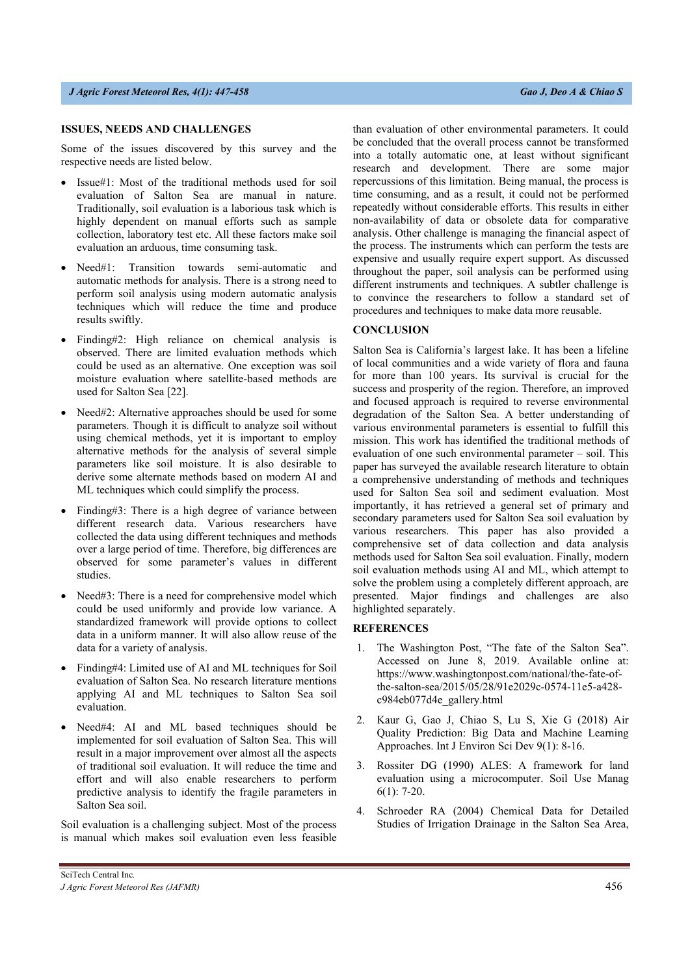# **ISSUES, NEEDS AND CHALLENGES**

Some of the issues discovered by this survey and the respective needs are listed below.

- Issue#1: Most of the traditional methods used for soil evaluation of Salton Sea are manual in nature. Traditionally, soil evaluation is a laborious task which is highly dependent on manual efforts such as sample collection, laboratory test etc. All these factors make soil evaluation an arduous, time consuming task.
- Need#1: Transition towards semi-automatic and automatic methods for analysis. There is a strong need to perform soil analysis using modern automatic analysis techniques which will reduce the time and produce results swiftly.
- Finding#2: High reliance on chemical analysis is observed. There are limited evaluation methods which could be used as an alternative. One exception was soil moisture evaluation where satellite-based methods are used for Salton Sea [22].
- Need#2: Alternative approaches should be used for some parameters. Though it is difficult to analyze soil without using chemical methods, yet it is important to employ alternative methods for the analysis of several simple parameters like soil moisture. It is also desirable to derive some alternate methods based on modern AI and ML techniques which could simplify the process.
- Finding#3: There is a high degree of variance between different research data. Various researchers have collected the data using different techniques and methods over a large period of time. Therefore, big differences are observed for some parameter's values in different studies.
- Need#3: There is a need for comprehensive model which could be used uniformly and provide low variance. A standardized framework will provide options to collect data in a uniform manner. It will also allow reuse of the data for a variety of analysis.
- Finding#4: Limited use of AI and ML techniques for Soil evaluation of Salton Sea. No research literature mentions applying AI and ML techniques to Salton Sea soil evaluation.
- Need#4: AI and ML based techniques should be implemented for soil evaluation of Salton Sea. This will result in a major improvement over almost all the aspects of traditional soil evaluation. It will reduce the time and effort and will also enable researchers to perform predictive analysis to identify the fragile parameters in Salton Sea soil.

Soil evaluation is a challenging subject. Most of the process is manual which makes soil evaluation even less feasible than evaluation of other environmental parameters. It could be concluded that the overall process cannot be transformed into a totally automatic one, at least without significant research and development. There are some major repercussions of this limitation. Being manual, the process is time consuming, and as a result, it could not be performed repeatedly without considerable efforts. This results in either non-availability of data or obsolete data for comparative analysis. Other challenge is managing the financial aspect of the process. The instruments which can perform the tests are expensive and usually require expert support. As discussed throughout the paper, soil analysis can be performed using different instruments and techniques. A subtler challenge is to convince the researchers to follow a standard set of procedures and techniques to make data more reusable.

#### **CONCLUSION**

Salton Sea is California's largest lake. It has been a lifeline of local communities and a wide variety of flora and fauna for more than 100 years. Its survival is crucial for the success and prosperity of the region. Therefore, an improved and focused approach is required to reverse environmental degradation of the Salton Sea. A better understanding of various environmental parameters is essential to fulfill this mission. This work has identified the traditional methods of evaluation of one such environmental parameter – soil. This paper has surveyed the available research literature to obtain a comprehensive understanding of methods and techniques used for Salton Sea soil and sediment evaluation. Most importantly, it has retrieved a general set of primary and secondary parameters used for Salton Sea soil evaluation by various researchers. This paper has also provided a comprehensive set of data collection and data analysis methods used for Salton Sea soil evaluation. Finally, modern soil evaluation methods using AI and ML, which attempt to solve the problem using a completely different approach, are presented. Major findings and challenges are also highlighted separately.

# **REFERENCES**

- 1. The Washington Post, "The fate of the Salton Sea". Accessed on June 8, 2019. Available online at: https://www.washingtonpost.com/national/the-fate-ofthe-salton-sea/2015/05/28/91e2029c-0574-11e5-a428 c984eb077d4e\_gallery.html
- 2. Kaur G, Gao J, Chiao S, Lu S, Xie G (2018) Air Quality Prediction: Big Data and Machine Learning Approaches. Int J Environ Sci Dev 9(1): 8-16.
- 3. Rossiter DG (1990) ALES: A framework for land evaluation using a microcomputer. Soil Use Manag 6(1): 7-20.
- 4. Schroeder RA (2004) Chemical Data for Detailed Studies of Irrigation Drainage in the Salton Sea Area,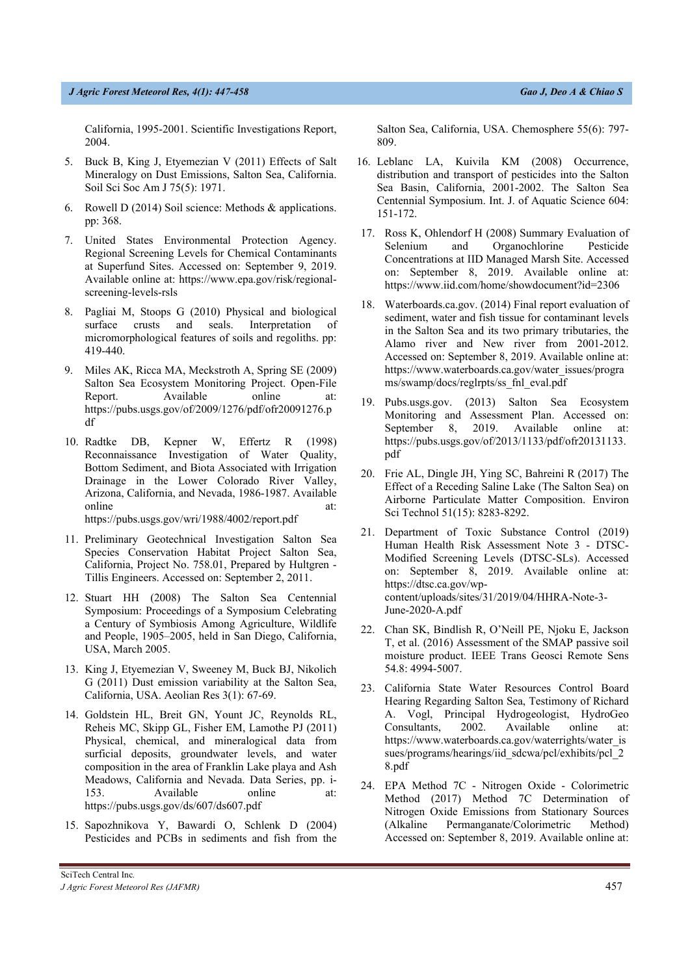California, 1995-2001. Scientific Investigations Report, 2004.

- 5. Buck B, King J, Etyemezian V (2011) Effects of Salt Mineralogy on Dust Emissions, Salton Sea, California. Soil Sci Soc Am J 75(5): 1971.
- 6. Rowell D (2014) Soil science: Methods & applications. pp: 368.
- 7. United States Environmental Protection Agency. Regional Screening Levels for Chemical Contaminants at Superfund Sites. Accessed on: September 9, 2019. Available online at: https://www.epa.gov/risk/regionalscreening-levels-rsls
- 8. Pagliai M, Stoops G (2010) Physical and biological surface crusts and seals. Interpretation of micromorphological features of soils and regoliths. pp: 419-440.
- 9. Miles AK, Ricca MA, Meckstroth A, Spring SE (2009) Salton Sea Ecosystem Monitoring Project. Open-File Report. Available online at: https://pubs.usgs.gov/of/2009/1276/pdf/ofr20091276.p df
- 10. Radtke DB, Kepner W, Effertz R (1998) Reconnaissance Investigation of Water Quality, Bottom Sediment, and Biota Associated with Irrigation Drainage in the Lower Colorado River Valley, Arizona, California, and Nevada, 1986-1987. Available online at:

https://pubs.usgs.gov/wri/1988/4002/report.pdf

- 11. Preliminary Geotechnical Investigation Salton Sea Species Conservation Habitat Project Salton Sea, California, Project No. 758.01, Prepared by Hultgren - Tillis Engineers. Accessed on: September 2, 2011.
- 12. Stuart HH (2008) The Salton Sea Centennial Symposium: Proceedings of a Symposium Celebrating a Century of Symbiosis Among Agriculture, Wildlife and People, 1905–2005, held in San Diego, California, USA, March 2005.
- 13. King J, Etyemezian V, Sweeney M, Buck BJ, Nikolich G (2011) Dust emission variability at the Salton Sea, California, USA. Aeolian Res 3(1): 67-69.
- 14. Goldstein HL, Breit GN, Yount JC, Reynolds RL, Reheis MC, Skipp GL, Fisher EM, Lamothe PJ (2011) Physical, chemical, and mineralogical data from surficial deposits, groundwater levels, and water composition in the area of Franklin Lake playa and Ash Meadows, California and Nevada. Data Series, pp. i-153. Available online at: https://pubs.usgs.gov/ds/607/ds607.pdf
- 15. Sapozhnikova Y, Bawardi O, Schlenk D (2004) Pesticides and PCBs in sediments and fish from the

SciTech Central Inc*.* 

Salton Sea, California, USA. Chemosphere 55(6): 797- 809.

- 16. Leblanc LA, Kuivila KM (2008) Occurrence, distribution and transport of pesticides into the Salton Sea Basin, California, 2001-2002. The Salton Sea Centennial Symposium. Int. J. of Aquatic Science 604: 151-172.
- 17. Ross K, Ohlendorf H (2008) Summary Evaluation of Selenium and Organochlorine Pesticide Concentrations at IID Managed Marsh Site. Accessed on: September 8, 2019. Available online at: https://www.iid.com/home/showdocument?id=2306
- 18. Waterboards.ca.gov. (2014) Final report evaluation of sediment, water and fish tissue for contaminant levels in the Salton Sea and its two primary tributaries, the Alamo river and New river from 2001-2012. Accessed on: September 8, 2019. Available online at: https://www.waterboards.ca.gov/water\_issues/progra ms/swamp/docs/reglrpts/ss\_fnl\_eval.pdf
- 19. Pubs.usgs.gov. (2013) Salton Sea Ecosystem Monitoring and Assessment Plan. Accessed on: September 8, 2019. Available online at: https://pubs.usgs.gov/of/2013/1133/pdf/ofr20131133. pdf
- 20. Frie AL, Dingle JH, Ying SC, Bahreini R (2017) The Effect of a Receding Saline Lake (The Salton Sea) on Airborne Particulate Matter Composition. Environ Sci Technol 51(15): 8283-8292.
- 21. Department of Toxic Substance Control (2019) Human Health Risk Assessment Note 3 - DTSC-Modified Screening Levels (DTSC-SLs). Accessed on: September 8, 2019. Available online at: https://dtsc.ca.gov/wpcontent/uploads/sites/31/2019/04/HHRA-Note-3- June-2020-A.pdf
- 22. Chan SK, Bindlish R, O'Neill PE, Njoku E, Jackson T, et al. (2016) Assessment of the SMAP passive soil moisture product. IEEE Trans Geosci Remote Sens 54.8: 4994-5007.
- 23. California State Water Resources Control Board Hearing Regarding Salton Sea, Testimony of Richard A. Vogl, Principal Hydrogeologist, HydroGeo Consultants, 2002. Available online at: https://www.waterboards.ca.gov/waterrights/water\_is sues/programs/hearings/iid\_sdcwa/pcl/exhibits/pcl\_2 8.pdf
- 24. EPA Method 7C Nitrogen Oxide Colorimetric Method (2017) Method 7C Determination of Nitrogen Oxide Emissions from Stationary Sources (Alkaline Permanganate/Colorimetric Method) Accessed on: September 8, 2019. Available online at: